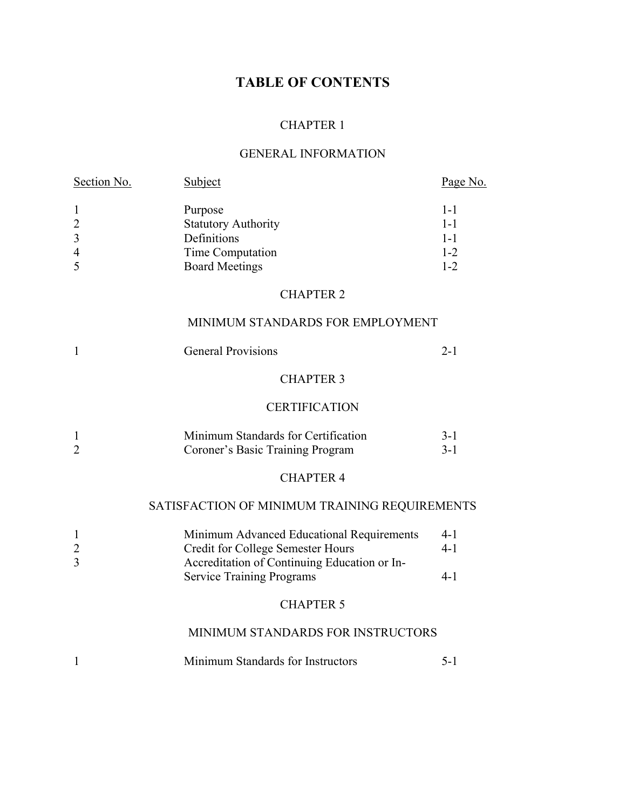# **TABLE OF CONTENTS**

## CHAPTER 1

## GENERAL INFORMATION

| Section No.                                                                      | Subject                                                                                                                                                                   | Page No.                                            |
|----------------------------------------------------------------------------------|---------------------------------------------------------------------------------------------------------------------------------------------------------------------------|-----------------------------------------------------|
| $\mathbf{1}$<br>$\overline{2}$<br>$\overline{\mathbf{3}}$<br>$\overline{4}$<br>5 | Purpose<br><b>Statutory Authority</b><br>Definitions<br>Time Computation<br><b>Board Meetings</b>                                                                         | $1 - 1$<br>$1 - 1$<br>$1 - 1$<br>$1 - 2$<br>$1 - 2$ |
|                                                                                  | <b>CHAPTER 2</b>                                                                                                                                                          |                                                     |
|                                                                                  | MINIMUM STANDARDS FOR EMPLOYMENT                                                                                                                                          |                                                     |
| 1                                                                                | <b>General Provisions</b>                                                                                                                                                 | $2 - 1$                                             |
|                                                                                  | <b>CHAPTER 3</b>                                                                                                                                                          |                                                     |
|                                                                                  | <b>CERTIFICATION</b>                                                                                                                                                      |                                                     |
| 1<br>$\overline{2}$                                                              | Minimum Standards for Certification<br>Coroner's Basic Training Program                                                                                                   | $3 - 1$<br>$3 - 1$                                  |
|                                                                                  | <b>CHAPTER 4</b>                                                                                                                                                          |                                                     |
|                                                                                  | SATISFACTION OF MINIMUM TRAINING REQUIREMENTS                                                                                                                             |                                                     |
| $\mathbf{1}$<br>$\overline{c}$<br>$\overline{3}$                                 | Minimum Advanced Educational Requirements<br><b>Credit for College Semester Hours</b><br>Accreditation of Continuing Education or In-<br><b>Service Training Programs</b> | $4 - 1$<br>$4 - 1$<br>$4 - 1$                       |
|                                                                                  | <b>CHAPTER 5</b>                                                                                                                                                          |                                                     |
|                                                                                  | MINIMUM STANDARDS FOR INSTRUCTORS                                                                                                                                         |                                                     |
| 1                                                                                | Minimum Standards for Instructors                                                                                                                                         | $5 - 1$                                             |
|                                                                                  |                                                                                                                                                                           |                                                     |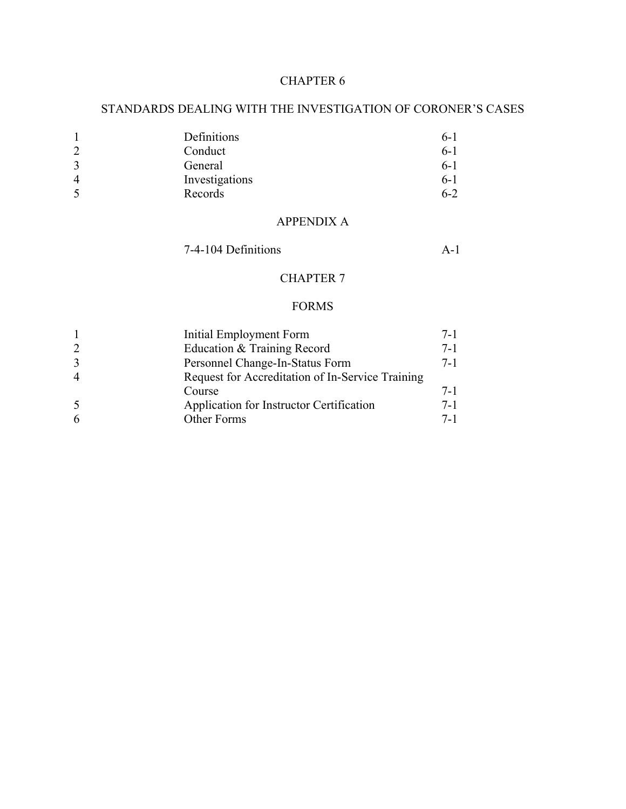## STANDARDS DEALING WITH THE INVESTIGATION OF CORONER'S CASES

| Definitions    | $6 - 1$ |
|----------------|---------|
| Conduct        | $6-1$   |
| General        | $6-1$   |
| Investigations | $6-1$   |
| Records        | $6 - 2$ |
|                |         |

## APPENDIX A

7-4-104 Definitions A-1

## CHAPTER 7

## FORMS

|    | Initial Employment Form                          | $7-1$   |
|----|--------------------------------------------------|---------|
|    | Education & Training Record                      | $7 - 1$ |
| 3  | Personnel Change-In-Status Form                  | $7 - 1$ |
|    | Request for Accreditation of In-Service Training |         |
|    | Course                                           | $7 - 1$ |
| -5 | Application for Instructor Certification         | $7-1$   |
|    | Other Forms                                      | $7-1$   |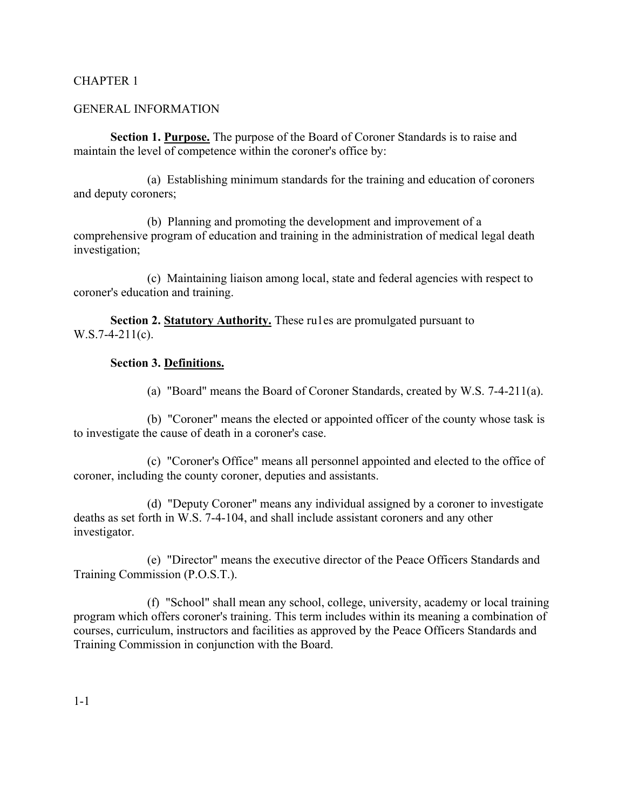## GENERAL INFORMATION

**Section 1. Purpose.** The purpose of the Board of Coroner Standards is to raise and maintain the level of competence within the coroner's office by:

(a) Establishing minimum standards for the training and education of coroners and deputy coroners;

(b) Planning and promoting the development and improvement of a comprehensive program of education and training in the administration of medical legal death investigation;

(c) Maintaining liaison among local, state and federal agencies with respect to coroner's education and training.

**Section 2. Statutory Authority.** These rules are promulgated pursuant to  $W.S.7-4-211(c)$ .

## **Section 3. Definitions.**

(a) "Board" means the Board of Coroner Standards, created by W.S. 7-4-211(a).

(b) "Coroner" means the elected or appointed officer of the county whose task is to investigate the cause of death in a coroner's case.

(c) "Coroner's Office" means all personnel appointed and elected to the office of coroner, including the county coroner, deputies and assistants.

(d) "Deputy Coroner" means any individual assigned by a coroner to investigate deaths as set forth in W.S. 7-4-104, and shall include assistant coroners and any other investigator.

(e) "Director" means the executive director of the Peace Officers Standards and Training Commission (P.O.S.T.).

(f) "School" shall mean any school, college, university, academy or local training program which offers coroner's training. This term includes within its meaning a combination of courses, curriculum, instructors and facilities as approved by the Peace Officers Standards and Training Commission in conjunction with the Board.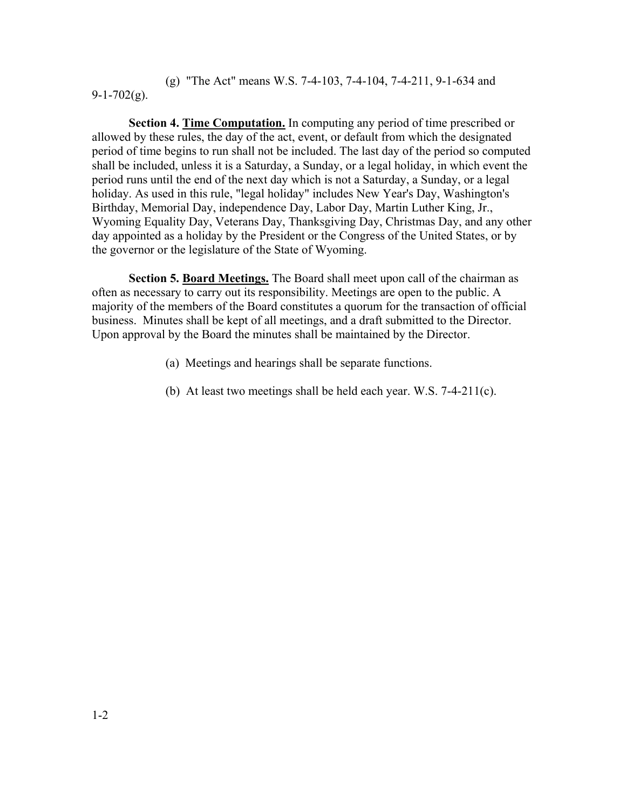(g) "The Act" means W.S. 7-4-103, 7-4-104, 7-4-211, 9-1-634 and  $9-1-702(g)$ .

**Section 4. Time Computation.** In computing any period of time prescribed or allowed by these rules, the day of the act, event, or default from which the designated period of time begins to run shall not be included. The last day of the period so computed shall be included, unless it is a Saturday, a Sunday, or a legal holiday, in which event the period runs until the end of the next day which is not a Saturday, a Sunday, or a legal holiday. As used in this rule, "legal holiday" includes New Year's Day, Washington's Birthday, Memorial Day, independence Day, Labor Day, Martin Luther King, Jr., Wyoming Equality Day, Veterans Day, Thanksgiving Day, Christmas Day, and any other day appointed as a holiday by the President or the Congress of the United States, or by the governor or the legislature of the State of Wyoming.

**Section 5. Board Meetings.** The Board shall meet upon call of the chairman as often as necessary to carry out its responsibility. Meetings are open to the public. A majority of the members of the Board constitutes a quorum for the transaction of official business. Minutes shall be kept of all meetings, and a draft submitted to the Director. Upon approval by the Board the minutes shall be maintained by the Director.

- (a) Meetings and hearings shall be separate functions.
- (b) At least two meetings shall be held each year. W.S. 7-4-211(c).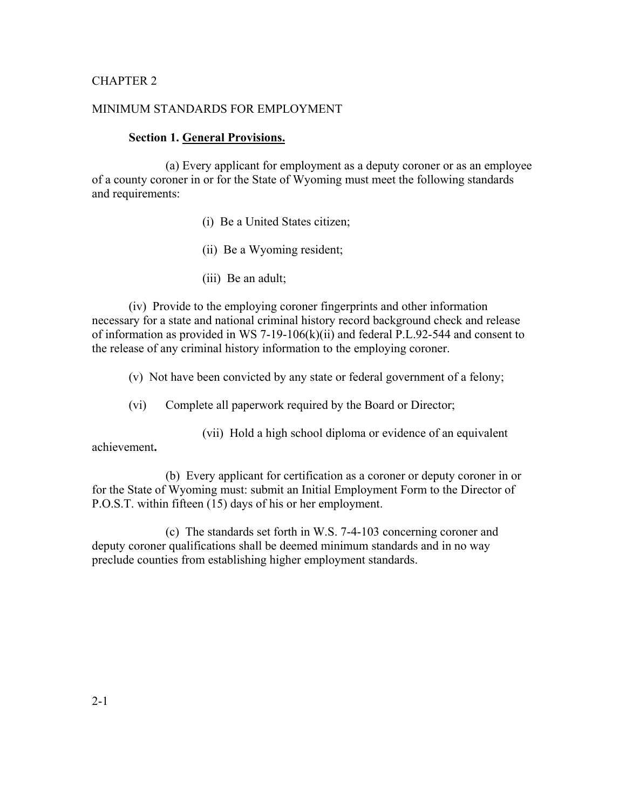## MINIMUM STANDARDS FOR EMPLOYMENT

#### **Section 1. General Provisions.**

(a) Every applicant for employment as a deputy coroner or as an employee of a county coroner in or for the State of Wyoming must meet the following standards and requirements:

- (i) Be a United States citizen;
- (ii) Be a Wyoming resident;
- (iii) Be an adult;

(iv) Provide to the employing coroner fingerprints and other information necessary for a state and national criminal history record background check and release of information as provided in WS 7-19-106(k)(ii) and federal P.L.92-544 and consent to the release of any criminal history information to the employing coroner.

(v) Not have been convicted by any state or federal government of a felony;

(vi) Complete all paperwork required by the Board or Director;

(vii) Hold a high school diploma or evidence of an equivalent

achievement**.**

(b) Every applicant for certification as a coroner or deputy coroner in or for the State of Wyoming must: submit an Initial Employment Form to the Director of P.O.S.T. within fifteen (15) days of his or her employment.

(c) The standards set forth in W.S. 7-4-103 concerning coroner and deputy coroner qualifications shall be deemed minimum standards and in no way preclude counties from establishing higher employment standards.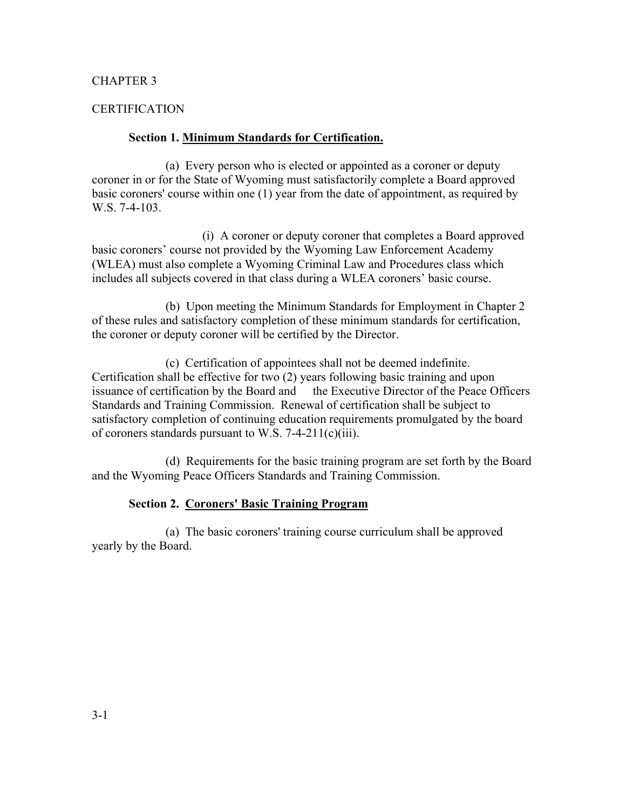#### CERTIFICATION

#### **Section 1. Minimum Standards for Certification.**

(a) Every person who is elected or appointed as a coroner or deputy coroner in or for the State of Wyoming must satisfactorily complete a Board approved basic coroners' course within one (1) year from the date of appointment, as required by W.S. 7-4-103.

(i) A coroner or deputy coroner that completes a Board approved basic coroners' course not provided by the Wyoming Law Enforcement Academy (WLEA) must also complete a Wyoming Criminal Law and Procedures class which includes all subjects covered in that class during a WLEA coroners' basic course.

(b) Upon meeting the Minimum Standards for Employment in Chapter 2 of these rules and satisfactory completion of these minimum standards for certification, the coroner or deputy coroner will be certified by the Director.

(c) Certification of appointees shall not be deemed indefinite. Certification shall be effective for two (2) years following basic training and upon issuance of certification by the Board and the Executive Director of the Peace Officers Standards and Training Commission. Renewal of certification shall be subject to satisfactory completion of continuing education requirements promulgated by the board of coroners standards pursuant to W.S. 7-4-211(c)(iii).

(d) Requirements for the basic training program are set forth by the Board and the Wyoming Peace Officers Standards and Training Commission.

#### **Section 2. Coroners' Basic Training Program**

(a) The basic coroners' training course curriculum shall be approved yearly by the Board.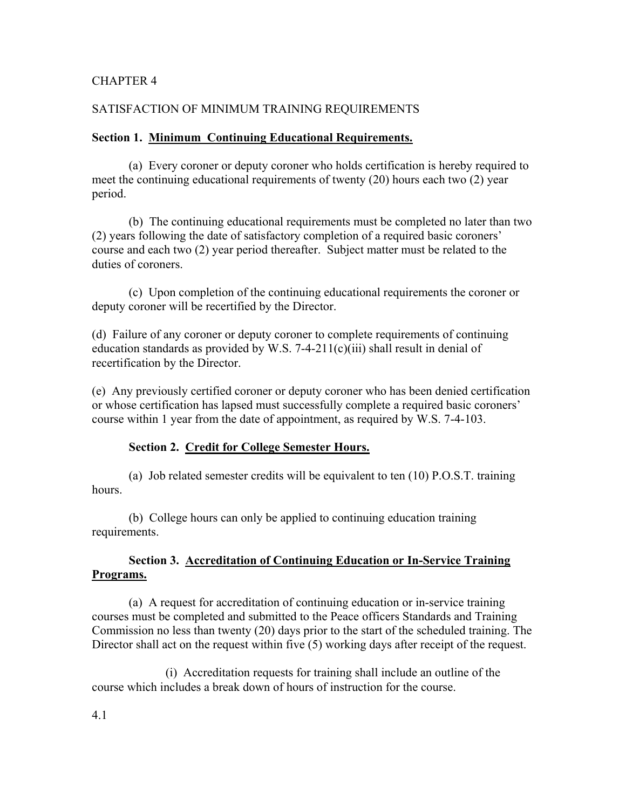## SATISFACTION OF MINIMUM TRAINING REQUIREMENTS

### **Section 1. Minimum Continuing Educational Requirements.**

(a) Every coroner or deputy coroner who holds certification is hereby required to meet the continuing educational requirements of twenty (20) hours each two (2) year period.

(b) The continuing educational requirements must be completed no later than two (2) years following the date of satisfactory completion of a required basic coroners' course and each two (2) year period thereafter. Subject matter must be related to the duties of coroners.

(c) Upon completion of the continuing educational requirements the coroner or deputy coroner will be recertified by the Director.

(d) Failure of any coroner or deputy coroner to complete requirements of continuing education standards as provided by W.S. 7-4-211(c)(iii) shall result in denial of recertification by the Director.

(e) Any previously certified coroner or deputy coroner who has been denied certification or whose certification has lapsed must successfully complete a required basic coroners' course within 1 year from the date of appointment, as required by W.S. 7-4-103.

#### **Section 2. Credit for College Semester Hours.**

(a) Job related semester credits will be equivalent to ten (10) P.O.S.T. training hours.

(b) College hours can only be applied to continuing education training requirements.

## **Section 3. Accreditation of Continuing Education or In-Service Training Programs.**

(a) A request for accreditation of continuing education or in-service training courses must be completed and submitted to the Peace officers Standards and Training Commission no less than twenty (20) days prior to the start of the scheduled training. The Director shall act on the request within five (5) working days after receipt of the request.

(i) Accreditation requests for training shall include an outline of the course which includes a break down of hours of instruction for the course.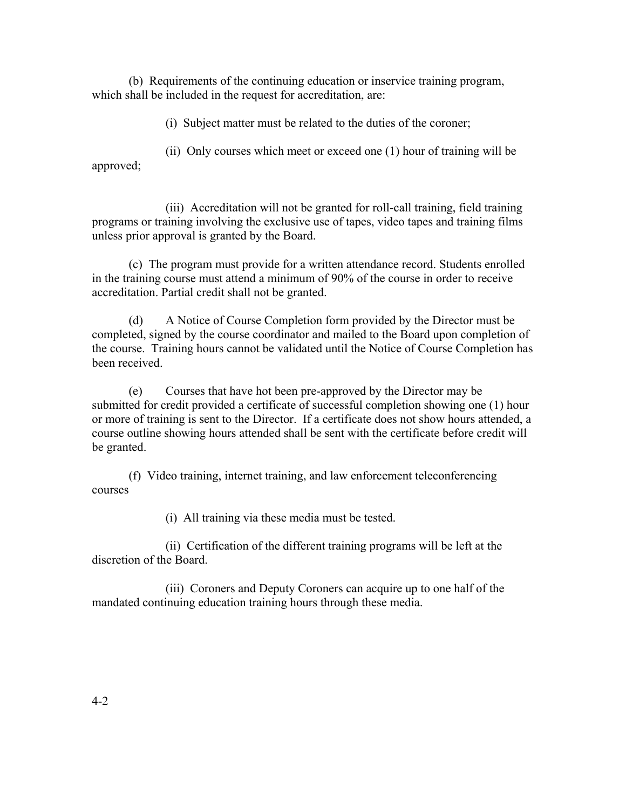(b) Requirements of the continuing education or inservice training program, which shall be included in the request for accreditation, are:

(i) Subject matter must be related to the duties of the coroner;

(ii) Only courses which meet or exceed one (1) hour of training will be approved;

(iii) Accreditation will not be granted for roll-call training, field training programs or training involving the exclusive use of tapes, video tapes and training films unless prior approval is granted by the Board.

(c) The program must provide for a written attendance record. Students enrolled in the training course must attend a minimum of 90% of the course in order to receive accreditation. Partial credit shall not be granted.

(d) A Notice of Course Completion form provided by the Director must be completed, signed by the course coordinator and mailed to the Board upon completion of the course. Training hours cannot be validated until the Notice of Course Completion has been received.

(e) Courses that have hot been pre-approved by the Director may be submitted for credit provided a certificate of successful completion showing one (1) hour or more of training is sent to the Director. If a certificate does not show hours attended, a course outline showing hours attended shall be sent with the certificate before credit will be granted.

(f) Video training, internet training, and law enforcement teleconferencing courses

(i) All training via these media must be tested.

(ii) Certification of the different training programs will be left at the discretion of the Board.

(iii) Coroners and Deputy Coroners can acquire up to one half of the mandated continuing education training hours through these media.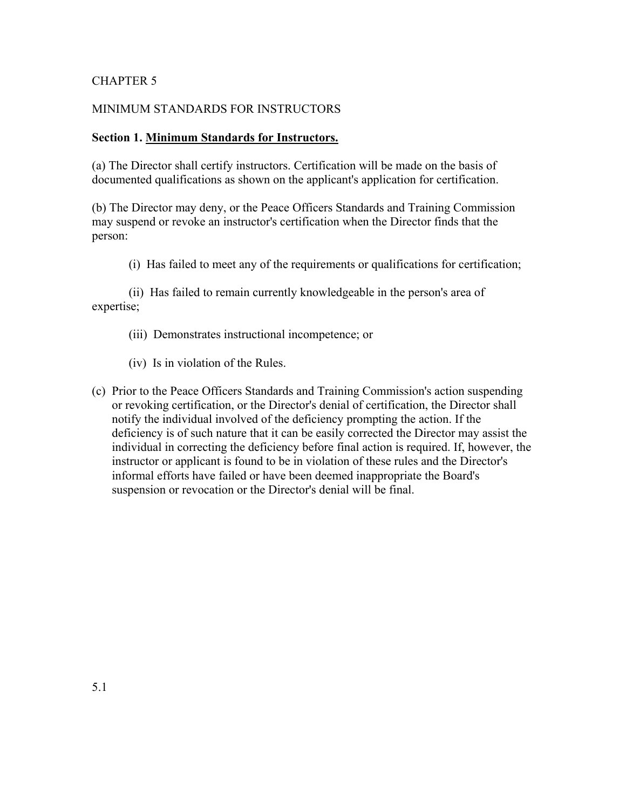## MINIMUM STANDARDS FOR INSTRUCTORS

## **Section 1. Minimum Standards for Instructors.**

(a) The Director shall certify instructors. Certification will be made on the basis of documented qualifications as shown on the applicant's application for certification.

(b) The Director may deny, or the Peace Officers Standards and Training Commission may suspend or revoke an instructor's certification when the Director finds that the person:

(i) Has failed to meet any of the requirements or qualifications for certification;

(ii) Has failed to remain currently knowledgeable in the person's area of expertise;

- (iii) Demonstrates instructional incompetence; or
- (iv) Is in violation of the Rules.
- (c) Prior to the Peace Officers Standards and Training Commission's action suspending or revoking certification, or the Director's denial of certification, the Director shall notify the individual involved of the deficiency prompting the action. If the deficiency is of such nature that it can be easily corrected the Director may assist the individual in correcting the deficiency before final action is required. If, however, the instructor or applicant is found to be in violation of these rules and the Director's informal efforts have failed or have been deemed inappropriate the Board's suspension or revocation or the Director's denial will be final.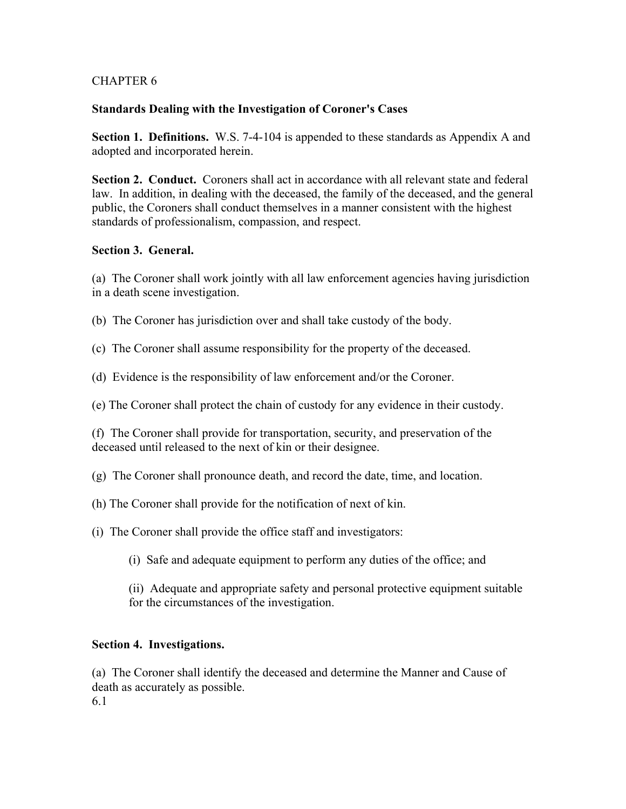## **Standards Dealing with the Investigation of Coroner's Cases**

**Section 1. Definitions.** W.S. 7-4-104 is appended to these standards as Appendix A and adopted and incorporated herein.

**Section 2. Conduct.** Coroners shall act in accordance with all relevant state and federal law. In addition, in dealing with the deceased, the family of the deceased, and the general public, the Coroners shall conduct themselves in a manner consistent with the highest standards of professionalism, compassion, and respect.

## **Section 3. General.**

(a) The Coroner shall work jointly with all law enforcement agencies having jurisdiction in a death scene investigation.

(b) The Coroner has jurisdiction over and shall take custody of the body.

(c) The Coroner shall assume responsibility for the property of the deceased.

(d) Evidence is the responsibility of law enforcement and/or the Coroner.

(e) The Coroner shall protect the chain of custody for any evidence in their custody.

(f) The Coroner shall provide for transportation, security, and preservation of the deceased until released to the next of kin or their designee.

(g) The Coroner shall pronounce death, and record the date, time, and location.

- (h) The Coroner shall provide for the notification of next of kin.
- (i) The Coroner shall provide the office staff and investigators:

(i) Safe and adequate equipment to perform any duties of the office; and

(ii) Adequate and appropriate safety and personal protective equipment suitable for the circumstances of the investigation.

## **Section 4. Investigations.**

(a) The Coroner shall identify the deceased and determine the Manner and Cause of death as accurately as possible. 6.1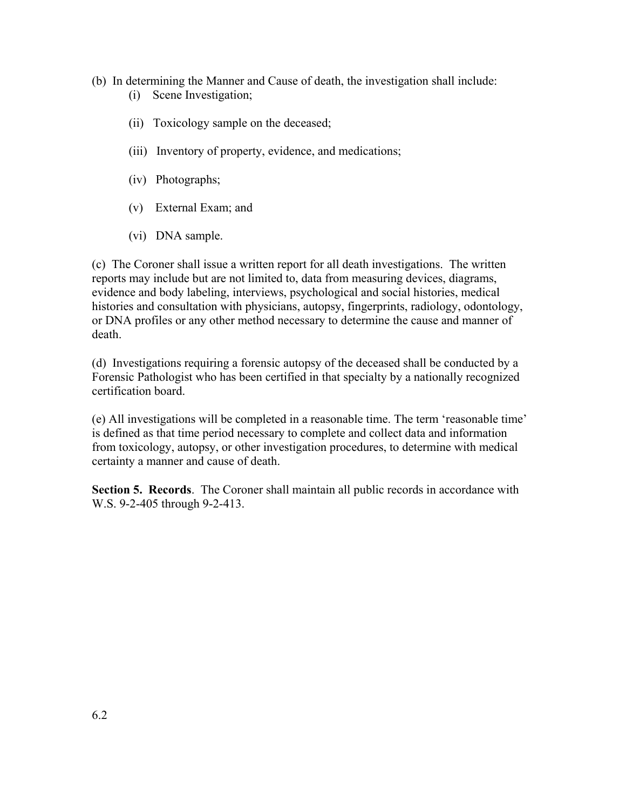- (b) In determining the Manner and Cause of death, the investigation shall include: (i) Scene Investigation;
	- (ii) Toxicology sample on the deceased;
	- (iii) Inventory of property, evidence, and medications;
	- (iv) Photographs;
	- (v) External Exam; and
	- (vi) DNA sample.

(c) The Coroner shall issue a written report for all death investigations. The written reports may include but are not limited to, data from measuring devices, diagrams, evidence and body labeling, interviews, psychological and social histories, medical histories and consultation with physicians, autopsy, fingerprints, radiology, odontology, or DNA profiles or any other method necessary to determine the cause and manner of death.

(d) Investigations requiring a forensic autopsy of the deceased shall be conducted by a Forensic Pathologist who has been certified in that specialty by a nationally recognized certification board.

(e) All investigations will be completed in a reasonable time. The term 'reasonable time' is defined as that time period necessary to complete and collect data and information from toxicology, autopsy, or other investigation procedures, to determine with medical certainty a manner and cause of death.

**Section 5. Records.** The Coroner shall maintain all public records in accordance with W.S. 9-2-405 through 9-2-413.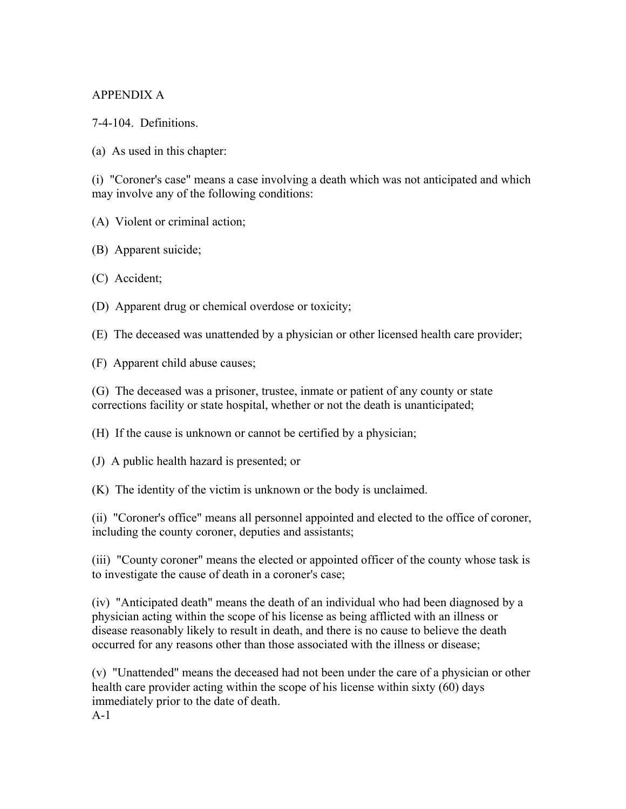## APPENDIX A

7-4-104. Definitions.

(a) As used in this chapter:

(i) "Coroner's case" means a case involving a death which was not anticipated and which may involve any of the following conditions:

(A) Violent or criminal action;

- (B) Apparent suicide;
- (C) Accident;
- (D) Apparent drug or chemical overdose or toxicity;

(E) The deceased was unattended by a physician or other licensed health care provider;

(F) Apparent child abuse causes;

(G) The deceased was a prisoner, trustee, inmate or patient of any county or state corrections facility or state hospital, whether or not the death is unanticipated;

(H) If the cause is unknown or cannot be certified by a physician;

(J) A public health hazard is presented; or

(K) The identity of the victim is unknown or the body is unclaimed.

(ii) "Coroner's office" means all personnel appointed and elected to the office of coroner, including the county coroner, deputies and assistants;

(iii) "County coroner" means the elected or appointed officer of the county whose task is to investigate the cause of death in a coroner's case;

(iv) "Anticipated death" means the death of an individual who had been diagnosed by a physician acting within the scope of his license as being afflicted with an illness or disease reasonably likely to result in death, and there is no cause to believe the death occurred for any reasons other than those associated with the illness or disease;

(v) "Unattended" means the deceased had not been under the care of a physician or other health care provider acting within the scope of his license within sixty (60) days immediately prior to the date of death.

A-1